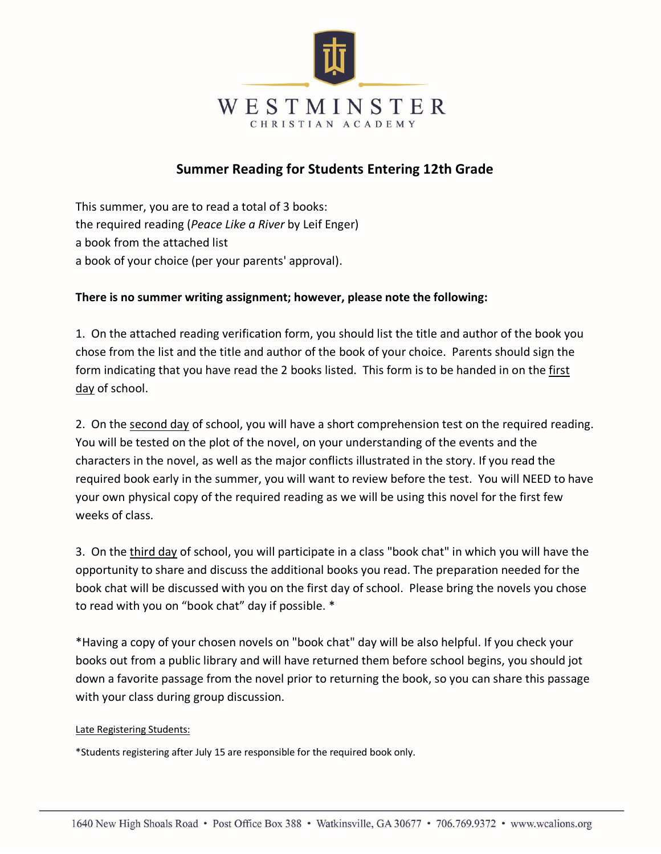

## **Summer Reading for Students Entering 12th Grade**

This summer, you are to read a total of 3 books: the required reading (*Peace Like a River* by Leif Enger) a book from the attached list a book of your choice (per your parents' approval).

#### **There is no summer writing assignment; however, please note the following:**

1. On the attached reading verification form, you should list the title and author of the book you chose from the list and the title and author of the book of your choice. Parents should sign the form indicating that you have read the 2 books listed. This form is to be handed in on the first day of school.

2. On the second day of school, you will have a short comprehension test on the required reading. You will be tested on the plot of the novel, on your understanding of the events and the characters in the novel, as well as the major conflicts illustrated in the story. If you read the required book early in the summer, you will want to review before the test. You will NEED to have your own physical copy of the required reading as we will be using this novel for the first few weeks of class.

3. On the third day of school, you will participate in a class "book chat" in which you will have the opportunity to share and discuss the additional books you read. The preparation needed for the book chat will be discussed with you on the first day of school. Please bring the novels you chose to read with you on "book chat" day if possible. \*

\*Having a copy of your chosen novels on "book chat" day will be also helpful. If you check your books out from a public library and will have returned them before school begins, you should jot down a favorite passage from the novel prior to returning the book, so you can share this passage with your class during group discussion.

#### Late Registering Students:

\*Students registering after July 15 are responsible for the required book only.

5/21/20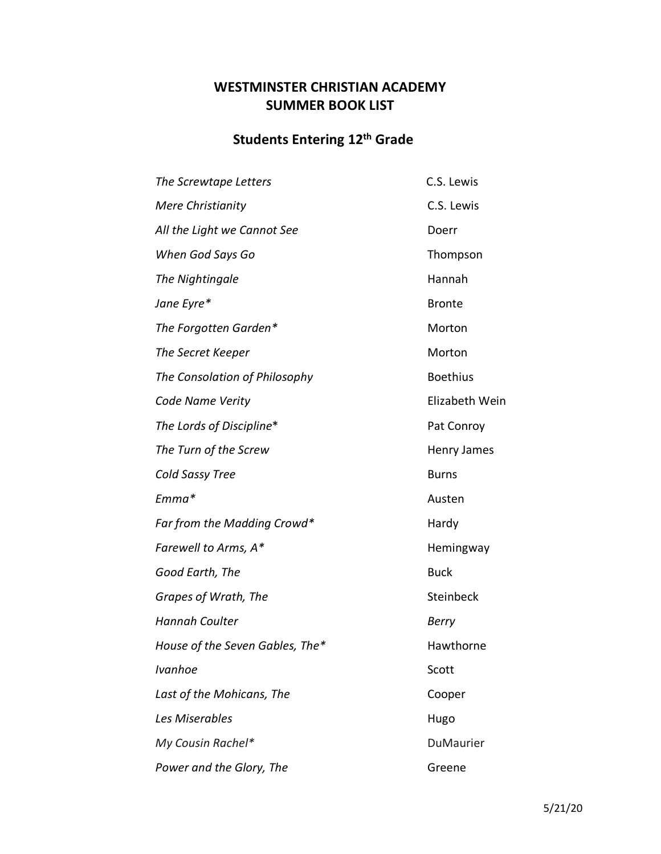### **WESTMINSTER CHRISTIAN ACADEMY SUMMER BOOK LIST**

# **Students Entering 12th Grade**

| The Screwtape Letters           | C.S. Lewis      |
|---------------------------------|-----------------|
| <b>Mere Christianity</b>        | C.S. Lewis      |
| All the Light we Cannot See     | Doerr           |
| When God Says Go                | Thompson        |
| The Nightingale                 | Hannah          |
| Jane Eyre*                      | <b>Bronte</b>   |
| The Forgotten Garden*           | Morton          |
| The Secret Keeper               | Morton          |
| The Consolation of Philosophy   | <b>Boethius</b> |
| Code Name Verity                | Elizabeth Wein  |
| The Lords of Discipline*        | Pat Conroy      |
| The Turn of the Screw           | Henry James     |
| Cold Sassy Tree                 | <b>Burns</b>    |
| Emma*                           | Austen          |
| Far from the Madding Crowd*     | Hardy           |
| Farewell to Arms, A*            | Hemingway       |
| Good Earth, The                 | <b>Buck</b>     |
| Grapes of Wrath, The            | Steinbeck       |
| <b>Hannah Coulter</b>           | <b>Berry</b>    |
| House of the Seven Gables, The* | Hawthorne       |
| Ivanhoe                         | Scott           |
| Last of the Mohicans, The       | Cooper          |
| Les Miserables                  | Hugo            |
| My Cousin Rachel*               | DuMaurier       |
| Power and the Glory, The        | Greene          |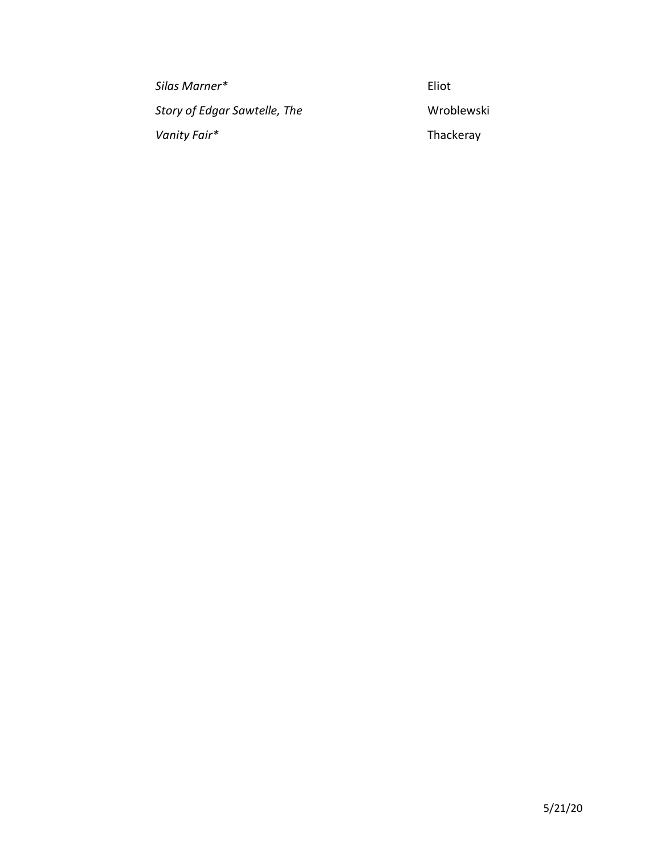| Silas Marner*                | Eliot      |
|------------------------------|------------|
| Story of Edgar Sawtelle, The | Wroblewski |
| Vanity Fair*                 | Thackeray  |